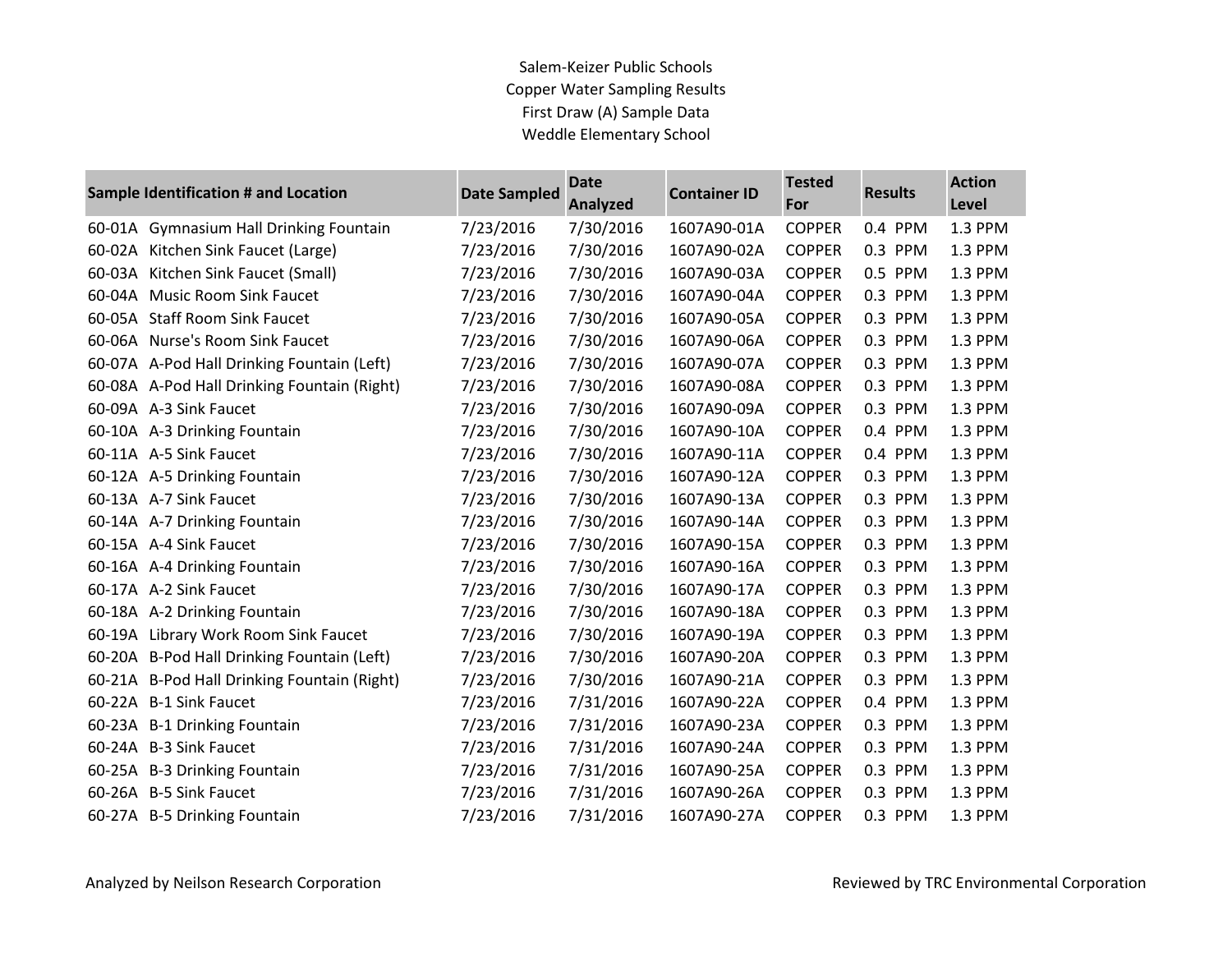## Salem-Keizer Public Schools Copper Water Sampling Results First Draw (A) Sample Data Weddle Elementary School

|        | Sample Identification # and Location        | <b>Date Sampled</b> | <b>Date</b><br><b>Analyzed</b> | <b>Container ID</b> | <b>Tested</b><br>For | <b>Results</b> | <b>Action</b><br>Level |
|--------|---------------------------------------------|---------------------|--------------------------------|---------------------|----------------------|----------------|------------------------|
| 60-01A | <b>Gymnasium Hall Drinking Fountain</b>     | 7/23/2016           | 7/30/2016                      | 1607A90-01A         | <b>COPPER</b>        | 0.4 PPM        | 1.3 PPM                |
|        | 60-02A Kitchen Sink Faucet (Large)          | 7/23/2016           | 7/30/2016                      | 1607A90-02A         | <b>COPPER</b>        | 0.3 PPM        | 1.3 PPM                |
|        | 60-03A Kitchen Sink Faucet (Small)          | 7/23/2016           | 7/30/2016                      | 1607A90-03A         | <b>COPPER</b>        | 0.5 PPM        | 1.3 PPM                |
|        | 60-04A Music Room Sink Faucet               | 7/23/2016           | 7/30/2016                      | 1607A90-04A         | <b>COPPER</b>        | 0.3 PPM        | 1.3 PPM                |
| 60-05A | <b>Staff Room Sink Faucet</b>               | 7/23/2016           | 7/30/2016                      | 1607A90-05A         | <b>COPPER</b>        | 0.3 PPM        | 1.3 PPM                |
|        | 60-06A Nurse's Room Sink Faucet             | 7/23/2016           | 7/30/2016                      | 1607A90-06A         | <b>COPPER</b>        | 0.3 PPM        | 1.3 PPM                |
|        | 60-07A A-Pod Hall Drinking Fountain (Left)  | 7/23/2016           | 7/30/2016                      | 1607A90-07A         | <b>COPPER</b>        | 0.3 PPM        | 1.3 PPM                |
|        | 60-08A A-Pod Hall Drinking Fountain (Right) | 7/23/2016           | 7/30/2016                      | 1607A90-08A         | <b>COPPER</b>        | 0.3 PPM        | 1.3 PPM                |
|        | 60-09A A-3 Sink Faucet                      | 7/23/2016           | 7/30/2016                      | 1607A90-09A         | <b>COPPER</b>        | 0.3 PPM        | 1.3 PPM                |
|        | 60-10A A-3 Drinking Fountain                | 7/23/2016           | 7/30/2016                      | 1607A90-10A         | <b>COPPER</b>        | 0.4 PPM        | 1.3 PPM                |
|        | 60-11A A-5 Sink Faucet                      | 7/23/2016           | 7/30/2016                      | 1607A90-11A         | <b>COPPER</b>        | 0.4 PPM        | 1.3 PPM                |
|        | 60-12A A-5 Drinking Fountain                | 7/23/2016           | 7/30/2016                      | 1607A90-12A         | <b>COPPER</b>        | 0.3 PPM        | 1.3 PPM                |
|        | 60-13A A-7 Sink Faucet                      | 7/23/2016           | 7/30/2016                      | 1607A90-13A         | <b>COPPER</b>        | 0.3 PPM        | 1.3 PPM                |
|        | 60-14A A-7 Drinking Fountain                | 7/23/2016           | 7/30/2016                      | 1607A90-14A         | <b>COPPER</b>        | 0.3 PPM        | 1.3 PPM                |
|        | 60-15A A-4 Sink Faucet                      | 7/23/2016           | 7/30/2016                      | 1607A90-15A         | <b>COPPER</b>        | 0.3 PPM        | 1.3 PPM                |
|        | 60-16A A-4 Drinking Fountain                | 7/23/2016           | 7/30/2016                      | 1607A90-16A         | <b>COPPER</b>        | 0.3 PPM        | 1.3 PPM                |
|        | 60-17A A-2 Sink Faucet                      | 7/23/2016           | 7/30/2016                      | 1607A90-17A         | <b>COPPER</b>        | 0.3 PPM        | 1.3 PPM                |
|        | 60-18A A-2 Drinking Fountain                | 7/23/2016           | 7/30/2016                      | 1607A90-18A         | <b>COPPER</b>        | 0.3 PPM        | 1.3 PPM                |
|        | 60-19A Library Work Room Sink Faucet        | 7/23/2016           | 7/30/2016                      | 1607A90-19A         | <b>COPPER</b>        | 0.3 PPM        | 1.3 PPM                |
|        | 60-20A B-Pod Hall Drinking Fountain (Left)  | 7/23/2016           | 7/30/2016                      | 1607A90-20A         | <b>COPPER</b>        | 0.3 PPM        | 1.3 PPM                |
|        | 60-21A B-Pod Hall Drinking Fountain (Right) | 7/23/2016           | 7/30/2016                      | 1607A90-21A         | <b>COPPER</b>        | 0.3 PPM        | 1.3 PPM                |
|        | 60-22A B-1 Sink Faucet                      | 7/23/2016           | 7/31/2016                      | 1607A90-22A         | <b>COPPER</b>        | 0.4 PPM        | 1.3 PPM                |
|        | 60-23A B-1 Drinking Fountain                | 7/23/2016           | 7/31/2016                      | 1607A90-23A         | <b>COPPER</b>        | 0.3 PPM        | 1.3 PPM                |
|        | 60-24A B-3 Sink Faucet                      | 7/23/2016           | 7/31/2016                      | 1607A90-24A         | <b>COPPER</b>        | 0.3 PPM        | 1.3 PPM                |
|        | 60-25A B-3 Drinking Fountain                | 7/23/2016           | 7/31/2016                      | 1607A90-25A         | <b>COPPER</b>        | 0.3 PPM        | 1.3 PPM                |
|        | 60-26A B-5 Sink Faucet                      | 7/23/2016           | 7/31/2016                      | 1607A90-26A         | <b>COPPER</b>        | 0.3 PPM        | 1.3 PPM                |
|        | 60-27A B-5 Drinking Fountain                | 7/23/2016           | 7/31/2016                      | 1607A90-27A         | <b>COPPER</b>        | 0.3 PPM        | 1.3 PPM                |